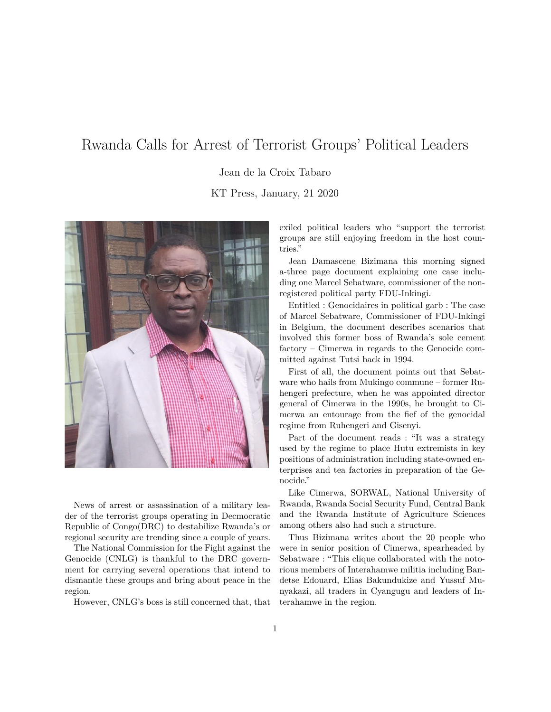## Rwanda Calls for Arrest of Terrorist Groups' Political Leaders

Jean de la Croix Tabaro

KT Press, January, 21 2020



News of arrest or assassination of a military leader of the terrorist groups operating in Decmocratic Republic of Congo(DRC) to destabilize Rwanda's or regional security are trending since a couple of years.

The National Commission for the Fight against the Genocide (CNLG) is thankful to the DRC government for carrying several operations that intend to dismantle these groups and bring about peace in the region.

However, CNLG's boss is still concerned that, that

exiled political leaders who "support the terrorist groups are still enjoying freedom in the host countries."

Jean Damascene Bizimana this morning signed a-three page document explaining one case including one Marcel Sebatware, commissioner of the nonregistered political party FDU-Inkingi.

Entitled : Genocidaires in political garb : The case of Marcel Sebatware, Commissioner of FDU-Inkingi in Belgium, the document describes scenarios that involved this former boss of Rwanda's sole cement factory – Cimerwa in regards to the Genocide committed against Tutsi back in 1994.

First of all, the document points out that Sebatware who hails from Mukingo commune – former Ruhengeri prefecture, when he was appointed director general of Cimerwa in the 1990s, he brought to Cimerwa an entourage from the fief of the genocidal regime from Ruhengeri and Gisenyi.

Part of the document reads : "It was a strategy used by the regime to place Hutu extremists in key positions of administration including state-owned enterprises and tea factories in preparation of the Genocide."

Like Cimerwa, SORWAL, National University of Rwanda, Rwanda Social Security Fund, Central Bank and the Rwanda Institute of Agriculture Sciences among others also had such a structure.

Thus Bizimana writes about the 20 people who were in senior position of Cimerwa, spearheaded by Sebatware : "This clique collaborated with the notorious members of Interahamwe militia including Bandetse Edouard, Elias Bakundukize and Yussuf Munyakazi, all traders in Cyangugu and leaders of Interahamwe in the region.